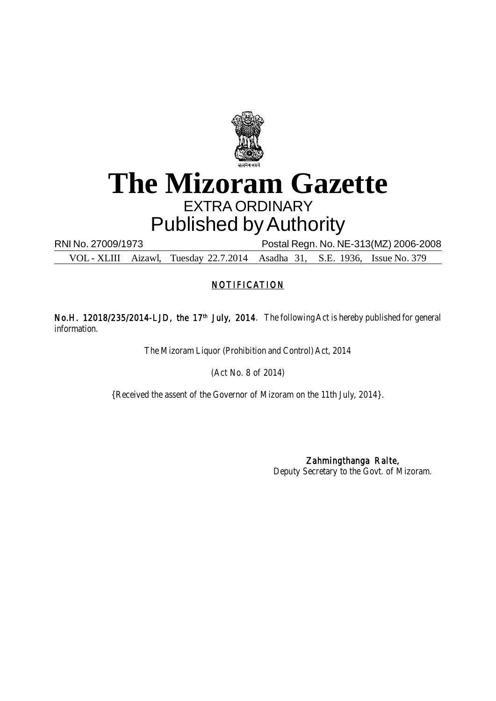

# **The Mizoram Gazette** EXTRA ORDINARY Published by Authority

RNI No. 27009/1973 Postal Regn. No. NE-313(MZ) 2006-2008

VOL - XLIII Aizawl, Tuesday 22.7.2014 Asadha 31, S.E. 1936, Issue No. 379

# **NOTIFICATION**

No.H. 12018/235/2014-LJD, the 17<sup>th</sup> July, 2014. The following Act is hereby published for general information.

The Mizoram Liquor (Prohibition and Control) Act, 2014

(Act No. 8 of 2014)

{Received the assent of the Governor of Mizoram on the 11th July, 2014}.

Zahmingthanga Ralte, Deputy Secretary to the Govt. of Mizoram.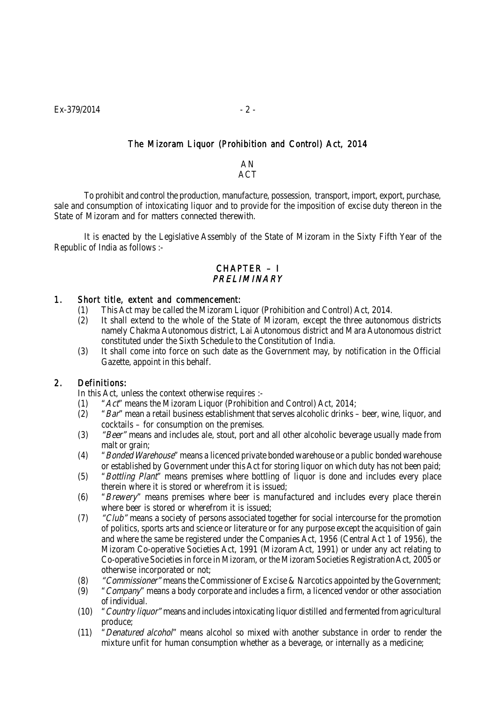## The Mizoram Liquor (Prohibition and Control) Act, 2014

AN **ACT** 

To prohibit and control the production, manufacture, possession, transport, import, export, purchase, sale and consumption of intoxicating liquor and to provide for the imposition of excise duty thereon in the State of Mizoram and for matters connected therewith.

It is enacted by the Legislative Assembly of the State of Mizoram in the Sixty Fifth Year of the Republic of India as follows :-

## CHAPTER – I **PRELIMINARY**

## 1. Short title, extent and commencement:

- (1) This Act may be called the Mizoram Liquor (Prohibition and Control) Act, 2014.
- (2) It shall extend to the whole of the State of Mizoram, except the three autonomous districts namely Chakma Autonomous district, Lai Autonomous district and Mara Autonomous district constituted under the Sixth Schedule to the Constitution of India.
- (3) It shall come into force on such date as the Government may, by notification in the Official Gazette, appoint in this behalf.

## 2. Definitions:

In this Act, unless the context otherwise requires :-

- (1)  $"Act"$  means the Mizoram Liquor (Prohibition and Control) Act, 2014;
- (2)  $Bar'$  mean a retail business establishment that serves alcoholic drinks beer, wine, liquor, and cocktails – for consumption on the premises.
- (3) *"Beer"* means and includes ale, stout, port and all other alcoholic beverage usually made from malt or grain;
- (4) "Bonded Warehouse" means a licenced private bonded warehouse or a public bonded warehouse or established by Government under this Act for storing liquor on which duty has not been paid;
- (5) "Bottling Plant" means premises where bottling of liquor is done and includes every place therein where it is stored or wherefrom it is issued;
- (6) "Brewery" means premises where beer is manufactured and includes every place therein where beer is stored or wherefrom it is issued;
- (7) *"Club"* means a society of persons associated together for social intercourse for the promotion of politics, sports arts and science or literature or for any purpose except the acquisition of gain and where the same be registered under the Companies Act, 1956 (Central Act 1 of 1956), the Mizoram Co-operative Societies Act, 1991 (Mizoram Act, 1991) or under any act relating to Co-operative Societies in force in Mizoram, or the Mizoram Societies Registration Act, 2005 or otherwise incorporated or not;
- (8)  $"Commissioner"$  means the Commissioner of Excise & Narcotics appointed by the Government;
- $(9)$  "Company" means a body corporate and includes a firm, a licenced vendor or other association of individual.
- (10) "Country liquor" means and includes intoxicating liquor distilled and fermented from agricultural produce;
- (11) "Denatured alcohol" means alcohol so mixed with another substance in order to render the mixture unfit for human consumption whether as a beverage, or internally as a medicine;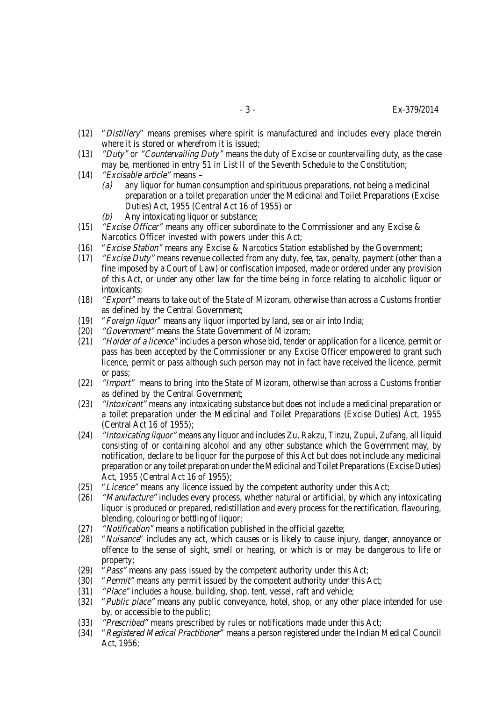- (12) "Distillery" means premises where spirit is manufactured and includes every place therein where it is stored or wherefrom it is issued;
- (13) *"Duty"* or "Countervailing Duty" means the duty of Excise or countervailing duty, as the case may be, mentioned in entry 51 in List II of the Seventh Schedule to the Constitution;
- (14) "Excisable article" means
	- (a) any liquor for human consumption and spirituous preparations, not being a medicinal preparation or a toilet preparation under the Medicinal and Toilet Preparations (Excise Duties) Act, 1955 (Central Act 16 of 1955) or
	- $(b)$  Any intoxicating liquor or substance;
- (15) *"Excise Officer"* means any officer subordinate to the Commissioner and any Excise  $\&$ Narcotics Officer invested with powers under this Act;
- (16) "Excise Station" means any Excise & Narcotics Station established by the Government;
- (17) *"Excise Duty"* means revenue collected from any duty, fee, tax, penalty, payment (other than a fine imposed by a Court of Law) or confiscation imposed, made or ordered under any provision of this Act, or under any other law for the time being in force relating to alcoholic liquor or intoxicants;
- (18) *"Export"* means to take out of the State of Mizoram, otherwise than across a Customs frontier as defined by the Central Government;
- (19) "Foreign liquor" means any liquor imported by land, sea or air into India;
- (20) "Government" means the State Government of Mizoram;
- (21) *"Holder of a licence"* includes a person whose bid, tender or application for a licence, permit or pass has been accepted by the Commissioner or any Excise Officer empowered to grant such licence, permit or pass although such person may not in fact have received the licence, permit or pass;
- (22) *"Import"* means to bring into the State of Mizoram, otherwise than across a Customs frontier as defined by the Central Government;
- (23) *"Intoxicant"* means any intoxicating substance but does not include a medicinal preparation or a toilet preparation under the Medicinal and Toilet Preparations (Excise Duties) Act, 1955 (Central Act 16 of 1955);
- (24) "Intoxicating liquor" means any liquor and includes Zu, Rakzu, Tinzu, Zupui, Zufang, all liquid consisting of or containing alcohol and any other substance which the Government may, by notification, declare to be liquor for the purpose of this Act but does not include any medicinal preparation or any toilet preparation under the Medicinal and Toilet Preparations (Excise Duties) Act, 1955 (Central Act 16 of 1955);
- (25) "Licence" means any licence issued by the competent authority under this Act;
- (26) *"Manufacture"* includes every process, whether natural or artificial, by which any intoxicating liquor is produced or prepared, redistillation and every process for the rectification, flavouring, blending, colouring or bottling of liquor;
- (27) "Notification" means a notification published in the official gazette;
- (28) "Nuisance" includes any act, which causes or is likely to cause injury, danger, annoyance or offence to the sense of sight, smell or hearing, or which is or may be dangerous to life or property;
- (29) *"Pass"* means any pass issued by the competent authority under this Act;
- (30) *"Permit"* means any permit issued by the competent authority under this Act;
- (31) "Place" includes a house, building, shop, tent, vessel, raft and vehicle;
- (32) *"Public place"* means any public conveyance, hotel, shop, or any other place intended for use by, or accessible to the public;
- (33) "Prescribed" means prescribed by rules or notifications made under this Act;
- (34) "Registered Medical Practitioner" means a person registered under the Indian Medical Council Act, 1956;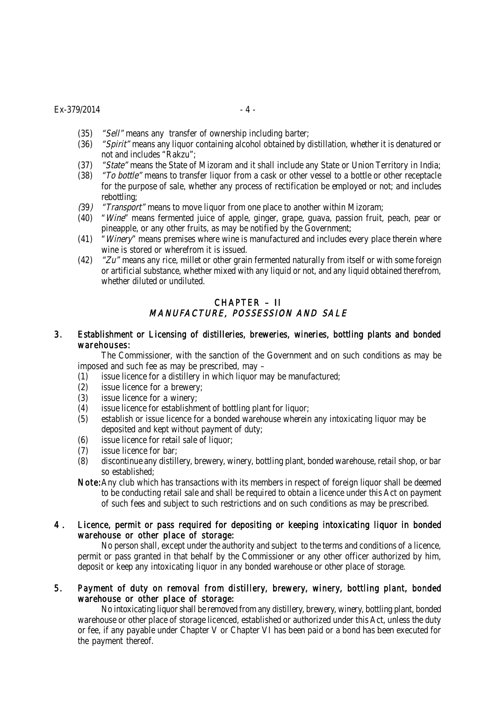#### $Ex - 379/2014$  - 4 -

- (35) *"Sell"* means any transfer of ownership including barter;
- (36) "Spirit" means any liquor containing alcohol obtained by distillation, whether it is denatured or not and includes "Rakzu";
- (37) "State" means the State of Mizoram and it shall include any State or Union Territory in India;
- (38) *"To bottle"* means to transfer liquor from a cask or other vessel to a bottle or other receptacle for the purpose of sale, whether any process of rectification be employed or not; and includes rebottling;
- (39) "Transport" means to move liquor from one place to another within Mizoram;
- (40) "Wine" means fermented juice of apple, ginger, grape, guava, passion fruit, peach, pear or pineapple, or any other fruits, as may be notified by the Government;
- (41) "Winery" means premises where wine is manufactured and includes every place therein where wine is stored or wherefrom it is issued.
- (42)  $\gamma$   $Zu$ " means any rice, millet or other grain fermented naturally from itself or with some foreign or artificial substance, whether mixed with any liquid or not, and any liquid obtained therefrom, whether diluted or undiluted.

## CHAPTER – II MANUFACTURE, POSSESSION AND SALE

## 3. Establishment or Licensing of distilleries, breweries, wineries, bottling plants and bonded warehouses:

The Commissioner, with the sanction of the Government and on such conditions as may be imposed and such fee as may be prescribed, may –

- (1) issue licence for a distillery in which liquor may be manufactured;
- (2) issue licence for a brewery;
- (3) issue licence for a winery;
- (4) issue licence for establishment of bottling plant for liquor;
- (5) establish or issue licence for a bonded warehouse wherein any intoxicating liquor may be deposited and kept without payment of duty;
- (6) issue licence for retail sale of liquor;
- (7) issue licence for bar;
- (8) discontinue any distillery, brewery, winery, bottling plant, bonded warehouse, retail shop, or bar so established;
- Note:Any club which has transactions with its members in respect of foreign liquor shall be deemed to be conducting retail sale and shall be required to obtain a licence under this Act on payment of such fees and subject to such restrictions and on such conditions as may be prescribed.

## 4 . Licence, permit or pass required for depositing or keeping intoxicating liquor in bonded warehouse or other place of storage:

No person shall, except under the authority and subject to the terms and conditions of a licence, permit or pass granted in that behalf by the Commissioner or any other officer authorized by him, deposit or keep any intoxicating liquor in any bonded warehouse or other place of storage.

## 5. Payment of duty on removal from distillery, brewery, winery, bottling plant, bonded warehouse or other place of storage:

No intoxicating liquor shall be removed from any distillery, brewery, winery, bottling plant, bonded warehouse or other place of storage licenced, established or authorized under this Act, unless the duty or fee, if any payable under Chapter V or Chapter VI has been paid or a bond has been executed for the payment thereof.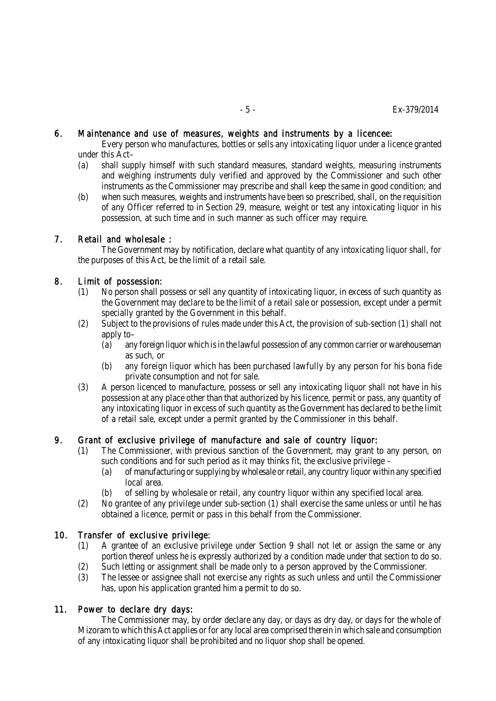#### 6. Maintenance and use of measures, weights and instruments by a licencee:

Every person who manufactures, bottles or sells any intoxicating liquor under a licence granted under this Act–

- (a) shall supply himself with such standard measures, standard weights, measuring instruments and weighing instruments duly verified and approved by the Commissioner and such other instruments as the Commissioner may prescribe and shall keep the same in good condition; and
- (b) when such measures, weights and instruments have been so prescribed, shall, on the requisition of any Officer referred to in Section 29, measure, weight or test any intoxicating liquor in his possession, at such time and in such manner as such officer may require.

## 7. Retail and wholesale :

The Government may by notification, declare what quantity of any intoxicating liquor shall, for the purposes of this Act, be the limit of a retail sale.

## 8. Limit of possession:

- (1) No person shall possess or sell any quantity of intoxicating liquor, in excess of such quantity as the Government may declare to be the limit of a retail sale or possession, except under a permit specially granted by the Government in this behalf.
- (2) Subject to the provisions of rules made under this Act, the provision of sub-section (1) shall not apply to–
	- (a) any foreign liquor which is in the lawful possession of any common carrier or warehouseman as such, or
	- (b) any foreign liquor which has been purchased lawfully by any person for his bona fide private consumption and not for sale.
- (3) A person licenced to manufacture, possess or sell any intoxicating liquor shall not have in his possession at any place other than that authorized by his licence, permit or pass, any quantity of any intoxicating liquor in excess of such quantity as the Government has declared to be the limit of a retail sale, except under a permit granted by the Commissioner in this behalf.

## 9. Grant of exclusive privilege of manufacture and sale of country liquor:

- (1) The Commissioner, with previous sanction of the Government, may grant to any person, on such conditions and for such period as it may thinks fit, the exclusive privilege –
	- (a) of manufacturing or supplying by wholesale or retail, any country liquor within any specified local area.
	- (b) of selling by wholesale or retail, any country liquor within any specified local area.
- (2) No grantee of any privilege under sub-section (1) shall exercise the same unless or until he has obtained a licence, permit or pass in this behalf from the Commissioner.

## 10. Transfer of exclusive privilege:

- (1) A grantee of an exclusive privilege under Section 9 shall not let or assign the same or any portion thereof unless he is expressly authorized by a condition made under that section to do so.
- (2) Such letting or assignment shall be made only to a person approved by the Commissioner.
- (3) The lessee or assignee shall not exercise any rights as such unless and until the Commissioner has, upon his application granted him a permit to do so.

#### 11. Power to declare dry days:

The Commissioner may, by order declare any day, or days as dry day, or days for the whole of Mizoram to which this Act applies or for any local area comprised therein in which sale and consumption of any intoxicating liquor shall be prohibited and no liquor shop shall be opened.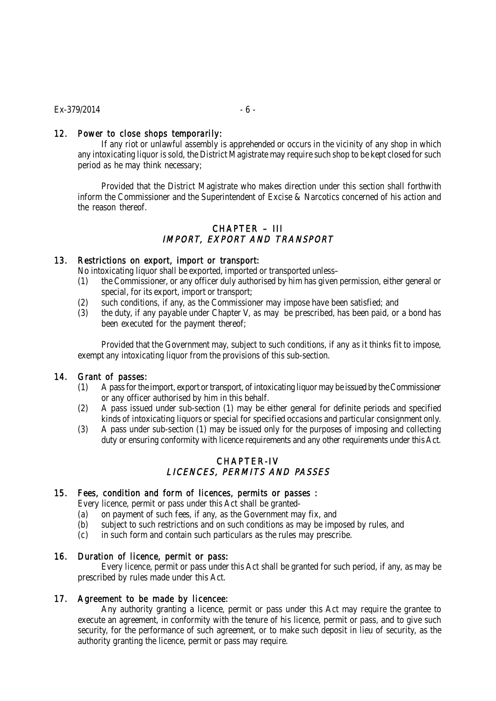## 12. Power to close shops temporarily:

If any riot or unlawful assembly is apprehended or occurs in the vicinity of any shop in which any intoxicating liquor is sold, the District Magistrate may require such shop to be kept closed for such period as he may think necessary;

Provided that the District Magistrate who makes direction under this section shall forthwith inform the Commissioner and the Superintendent of Excise & Narcotics concerned of his action and the reason thereof.

# CHAPTER – III IMPORT, EXPORT AND TRANSPORT

## 13. Restrictions on export, import or transport:

No intoxicating liquor shall be exported, imported or transported unless–

- (1) the Commissioner, or any officer duly authorised by him has given permission, either general or special, for its export, import or transport;
- (2) such conditions, if any, as the Commissioner may impose have been satisfied; and
- (3) the duty, if any payable under Chapter V, as may be prescribed, has been paid, or a bond has been executed for the payment thereof;

Provided that the Government may, subject to such conditions, if any as it thinks fit to impose, exempt any intoxicating liquor from the provisions of this sub-section.

#### 14. Grant of passes:

- (1) A pass for the import, export or transport, of intoxicating liquor may be issued by the Commissioner or any officer authorised by him in this behalf.
- (2) A pass issued under sub-section (1) may be either general for definite periods and specified kinds of intoxicating liquors or special for specified occasions and particular consignment only.
- (3) A pass under sub-section (1) may be issued only for the purposes of imposing and collecting duty or ensuring conformity with licence requirements and any other requirements under this Act.

# CHAPTER-IV LICENCES, PERMITS AND PASSES

#### 15. Fees, condition and form of licences, permits or passes :

Every licence, permit or pass under this Act shall be granted-

- (a) on payment of such fees, if any, as the Government may fix, and
- (b) subject to such restrictions and on such conditions as may be imposed by rules, and
- (c) in such form and contain such particulars as the rules may prescribe.

#### 16. Duration of licence, permit or pass:

Every licence, permit or pass under this Act shall be granted for such period, if any, as may be prescribed by rules made under this Act.

#### 17. Agreement to be made by licencee:

Any authority granting a licence, permit or pass under this Act may require the grantee to execute an agreement, in conformity with the tenure of his licence, permit or pass, and to give such security, for the performance of such agreement, or to make such deposit in lieu of security, as the authority granting the licence, permit or pass may require.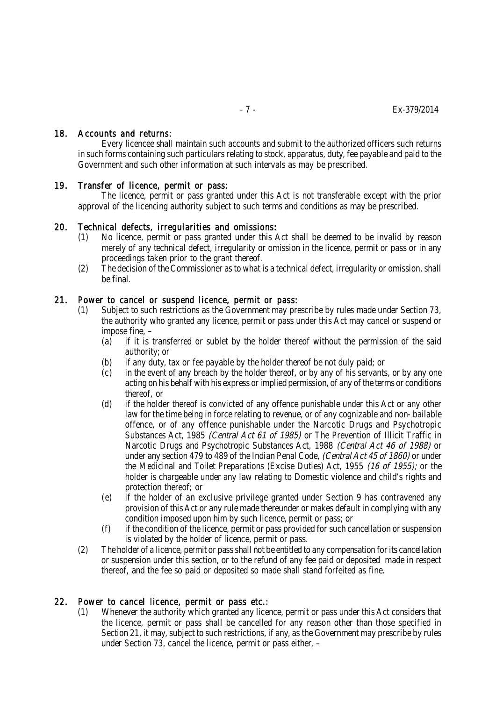#### 18. Accounts and returns:

Every licencee shall maintain such accounts and submit to the authorized officers such returns in such forms containing such particulars relating to stock, apparatus, duty, fee payable and paid to the Government and such other information at such intervals as may be prescribed.

## 19. Transfer of licence, permit or pass:

The licence, permit or pass granted under this Act is not transferable except with the prior approval of the licencing authority subject to such terms and conditions as may be prescribed.

## 20. Technical defects, irregularities and omissions:

- (1) No licence, permit or pass granted under this Act shall be deemed to be invalid by reason merely of any technical defect, irregularity or omission in the licence, permit or pass or in any proceedings taken prior to the grant thereof.
- (2) The decision of the Commissioner as to what is a technical defect, irregularity or omission, shall be final.

## 21. Power to cancel or suspend licence, permit or pass:

- (1) Subject to such restrictions as the Government may prescribe by rules made under Section 73, the authority who granted any licence, permit or pass under this Act may cancel or suspend or impose fine, –
	- (a) if it is transferred or sublet by the holder thereof without the permission of the said authority; or
	- (b) if any duty, tax or fee payable by the holder thereof be not duly paid; or
	- (c) in the event of any breach by the holder thereof, or by any of his servants, or by any one acting on his behalf with his express or implied permission, of any of the terms or conditions thereof, or
	- (d) if the holder thereof is convicted of any offence punishable under this Act or any other law for the time being in force relating to revenue, or of any cognizable and non- bailable offence, or of any offence punishable under the Narcotic Drugs and Psychotropic Substances Act, 1985 *(Central Act 61 of 1985)* or The Prevention of Illicit Traffic in Narcotic Drugs and Psychotropic Substances Act, 1988 (Central Act 46 of 1988) or under any section 479 to 489 of the Indian Penal Code, (Central Act 45 of 1860) or under the Medicinal and Toilet Preparations (Excise Duties) Act, 1955 (16 of 1955); or the holder is chargeable under any law relating to Domestic violence and child's rights and protection thereof; or
	- (e) if the holder of an exclusive privilege granted under Section 9 has contravened any provision of this Act or any rule made thereunder or makes default in complying with any condition imposed upon him by such licence, permit or pass; or
	- (f) if the condition of the licence, permit or pass provided for such cancellation or suspension is violated by the holder of licence, permit or pass.
- (2) The holder of a licence, permit or pass shall not be entitled to any compensation for its cancellation or suspension under this section, or to the refund of any fee paid or deposited made in respect thereof, and the fee so paid or deposited so made shall stand forfeited as fine.

#### 22. Power to cancel licence, permit or pass etc.:

(1) Whenever the authority which granted any licence, permit or pass under this Act considers that the licence, permit or pass shall be cancelled for any reason other than those specified in Section 21, it may, subject to such restrictions, if any, as the Government may prescribe by rules under Section 73, cancel the licence, permit or pass either, –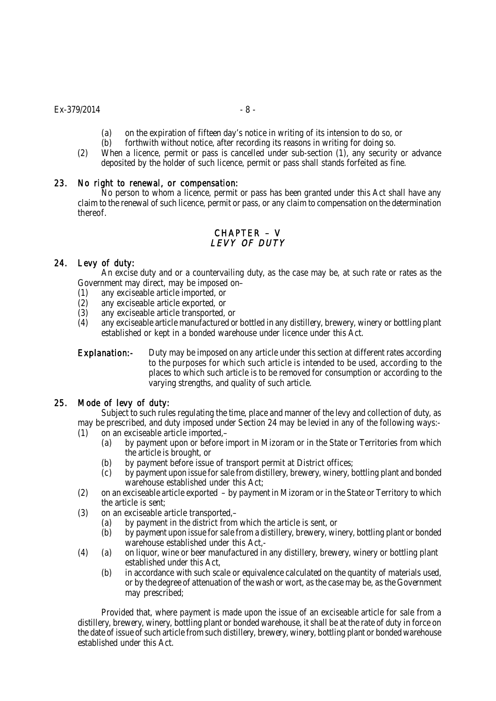- (a) on the expiration of fifteen day's notice in writing of its intension to do so, or (b) for thwith without notice, after recording its reasons in writing for doing so.
- forthwith without notice, after recording its reasons in writing for doing so.
- (2) When a licence, permit or pass is cancelled under sub-section (1), any security or advance deposited by the holder of such licence, permit or pass shall stands forfeited as fine.

## 23. No right to renewal, or compensation:

No person to whom a licence, permit or pass has been granted under this Act shall have any claim to the renewal of such licence, permit or pass, or any claim to compensation on the determination thereof.

# CHAPTER – V LEVY OF DUTY

## 24. Levy of duty:

An excise duty and or a countervailing duty, as the case may be, at such rate or rates as the Government may direct, may be imposed on–

- 
- (1) any exciseable article imported, or any exciseable article exported, or
- (3) any exciseable article transported, or
- (4) any exciseable article manufactured or bottled in any distillery, brewery, winery or bottling plant established or kept in a bonded warehouse under licence under this Act.

Explanation:- Duty may be imposed on any article under this section at different rates according to the purposes for which such article is intended to be used, according to the places to which such article is to be removed for consumption or according to the varying strengths, and quality of such article.

## 25. Mode of levy of duty:

Subject to such rules regulating the time, place and manner of the levy and collection of duty, as may be prescribed, and duty imposed under Section 24 may be levied in any of the following ways:-

- (1) on an exciseable article imported,–
	- (a) by payment upon or before import in Mizoram or in the State or Territories from which the article is brought, or
	- (b) by payment before issue of transport permit at District offices;
	- (c) by payment upon issue for sale from distillery, brewery, winery, bottling plant and bonded warehouse established under this Act;
- (2) on an exciseable article exported by payment in Mizoram or in the State or Territory to which the article is sent;
- (3) on an exciseable article transported,–
	- (a) by payment in the district from which the article is sent, or
	- (b) by payment upon issue for sale from a distillery, brewery, winery, bottling plant or bonded warehouse established under this Act,-
- (4) (a) on liquor, wine or beer manufactured in any distillery, brewery, winery or bottling plant established under this Act,
	- (b) in accordance with such scale or equivalence calculated on the quantity of materials used, or by the degree of attenuation of the wash or wort, as the case may be, as the Government may prescribed;

Provided that, where payment is made upon the issue of an exciseable article for sale from a distillery, brewery, winery, bottling plant or bonded warehouse, it shall be at the rate of duty in force on the date of issue of such article from such distillery, brewery, winery, bottling plant or bonded warehouse established under this Act.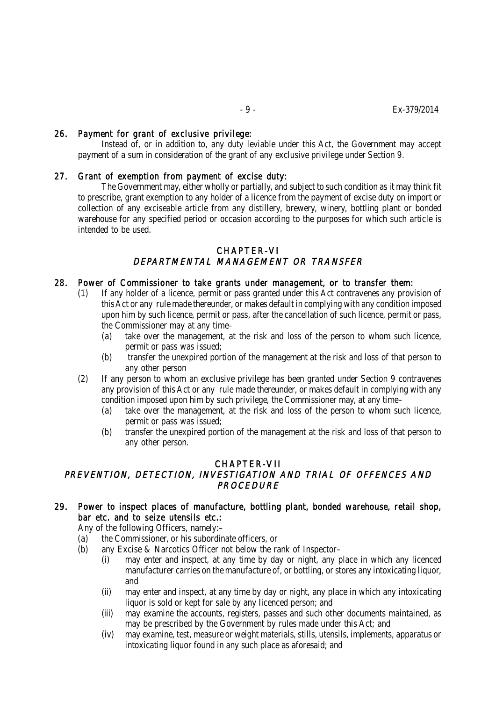## 26. Payment for grant of exclusive privilege:

Instead of, or in addition to, any duty leviable under this Act, the Government may accept payment of a sum in consideration of the grant of any exclusive privilege under Section 9.

## 27. Grant of exemption from payment of excise duty:

The Government may, either wholly or partially, and subject to such condition as it may think fit to prescribe, grant exemption to any holder of a licence from the payment of excise duty on import or collection of any exciseable article from any distillery, brewery, winery, bottling plant or bonded warehouse for any specified period or occasion according to the purposes for which such article is intended to be used.

## CHAPTER-VI DEPARTMENTAL MANAGEMENT OR TRANSFER

#### 28. Power of Commissioner to take grants under management, or to transfer them:

- (1) If any holder of a licence, permit or pass granted under this Act contravenes any provision of this Act or any rule made thereunder, or makes default in complying with any condition imposed upon him by such licence, permit or pass, after the cancellation of such licence, permit or pass, the Commissioner may at any time–
	- (a) take over the management, at the risk and loss of the person to whom such licence, permit or pass was issued;
	- (b) transfer the unexpired portion of the management at the risk and loss of that person to any other person
- (2) If any person to whom an exclusive privilege has been granted under Section 9 contravenes any provision of this Act or any rule made thereunder, or makes default in complying with any condition imposed upon him by such privilege, the Commissioner may, at any time–
	- (a) take over the management, at the risk and loss of the person to whom such licence, permit or pass was issued;
	- (b) transfer the unexpired portion of the management at the risk and loss of that person to any other person.

#### CHAPTER-VII

## PREVENTION, DETECTION, INVESTIGATION AND TRIAL OF OFFENCES AND PROCEDURE

## 29. Power to inspect places of manufacture, bottling plant, bonded warehouse, retail shop, bar etc. and to seize utensils etc.:

Any of the following Officers, namely:–

- (a) the Commissioner, or his subordinate officers, or
- (b) any Excise & Narcotics Officer not below the rank of Inspector–
	- (i) may enter and inspect, at any time by day or night, any place in which any licenced manufacturer carries on the manufacture of, or bottling, or stores any intoxicating liquor, and
	- (ii) may enter and inspect, at any time by day or night, any place in which any intoxicating liquor is sold or kept for sale by any licenced person; and
	- (iii) may examine the accounts, registers, passes and such other documents maintained, as may be prescribed by the Government by rules made under this Act; and
	- (iv) may examine, test, measure or weight materials, stills, utensils, implements, apparatus or intoxicating liquor found in any such place as aforesaid; and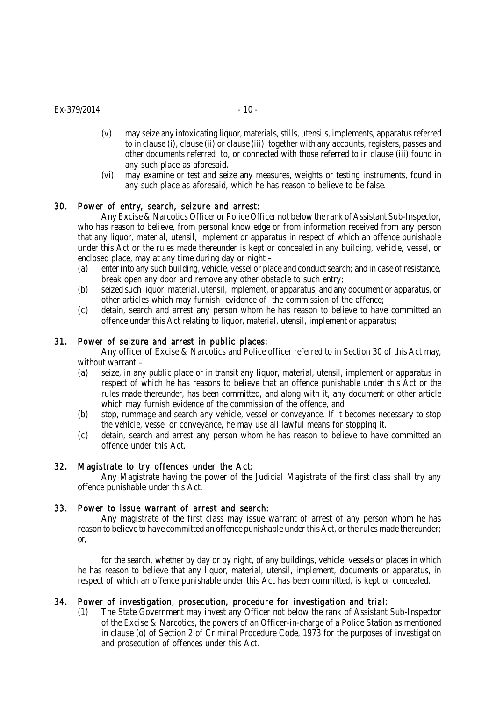$Ex-379/2014$  - 10 -

- (v) may seize any intoxicating liquor, materials, stills, utensils, implements, apparatus referred to in clause (i), clause (ii) or clause (iii) together with any accounts, registers, passes and other documents referred to, or connected with those referred to in clause (iii) found in any such place as aforesaid.
- (vi) may examine or test and seize any measures, weights or testing instruments, found in any such place as aforesaid, which he has reason to believe to be false.

## 30. Power of entry, search, seizure and arrest:

Any Excise & Narcotics Officer or Police Officer not below the rank of Assistant Sub-Inspector, who has reason to believe, from personal knowledge or from information received from any person that any liquor, material, utensil, implement or apparatus in respect of which an offence punishable under this Act or the rules made thereunder is kept or concealed in any building, vehicle, vessel, or enclosed place, may at any time during day or night –

- (a) enter into any such building, vehicle, vessel or place and conduct search; and in case of resistance, break open any door and remove any other obstacle to such entry;
- (b) seized such liquor, material, utensil, implement, or apparatus, and any document or apparatus, or other articles which may furnish evidence of the commission of the offence;
- (c) detain, search and arrest any person whom he has reason to believe to have committed an offence under this Act relating to liquor, material, utensil, implement or apparatus;

## 31. Power of seizure and arrest in public places:

Any officer of Excise & Narcotics and Police officer referred to in Section 30 of this Act may, without warrant –

- (a) seize, in any public place or in transit any liquor, material, utensil, implement or apparatus in respect of which he has reasons to believe that an offence punishable under this Act or the rules made thereunder, has been committed, and along with it, any document or other article which may furnish evidence of the commission of the offence, and
- (b) stop, rummage and search any vehicle, vessel or conveyance. If it becomes necessary to stop the vehicle, vessel or conveyance, he may use all lawful means for stopping it.
- (c) detain, search and arrest any person whom he has reason to believe to have committed an offence under this Act.

#### 32. Magistrate to try offences under the Act:

Any Magistrate having the power of the Judicial Magistrate of the first class shall try any offence punishable under this Act.

#### 33. Power to issue warrant of arrest and search:

Any magistrate of the first class may issue warrant of arrest of any person whom he has reason to believe to have committed an offence punishable under this Act, or the rules made thereunder; or,

for the search, whether by day or by night, of any buildings, vehicle, vessels or places in which he has reason to believe that any liquor, material, utensil, implement, documents or apparatus, in respect of which an offence punishable under this Act has been committed, is kept or concealed.

#### 34. Power of investigation, prosecution, procedure for investigation and trial:

(1) The State Government may invest any Officer not below the rank of Assistant Sub-Inspector of the Excise & Narcotics, the powers of an Officer-in-charge of a Police Station as mentioned in clause (o) of Section 2 of Criminal Procedure Code, 1973 for the purposes of investigation and prosecution of offences under this Act.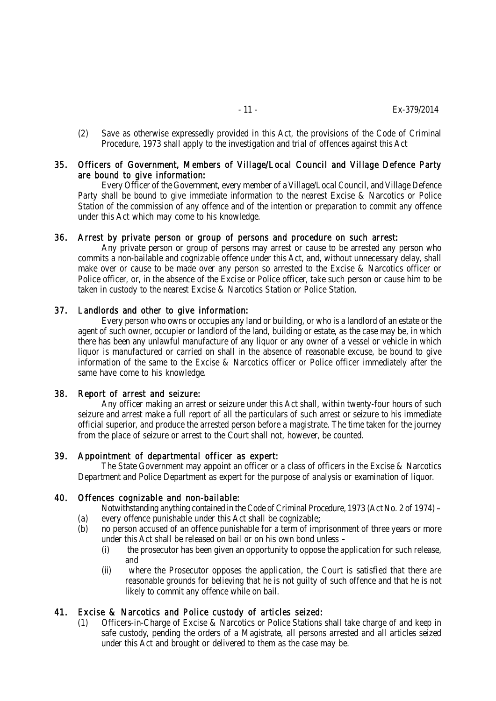(2) Save as otherwise expressedly provided in this Act, the provisions of the Code of Criminal Procedure, 1973 shall apply to the investigation and trial of offences against this Act

## 35. Officers of Government, Members of Village/Local Council and Village Defence Party are bound to give information:

Every Officer of the Government, every member of a Village/Local Council, and Village Defence Party shall be bound to give immediate information to the nearest Excise & Narcotics or Police Station of the commission of any offence and of the intention or preparation to commit any offence under this Act which may come to his knowledge.

## 36. Arrest by private person or group of persons and procedure on such arrest:

Any private person or group of persons may arrest or cause to be arrested any person who commits a non-bailable and cognizable offence under this Act, and, without unnecessary delay, shall make over or cause to be made over any person so arrested to the Excise & Narcotics officer or Police officer, or, in the absence of the Excise or Police officer, take such person or cause him to be taken in custody to the nearest Excise & Narcotics Station or Police Station.

#### 37. Landlords and other to give information:

Every person who owns or occupies any land or building, or who is a landlord of an estate or the agent of such owner, occupier or landlord of the land, building or estate, as the case may be, in which there has been any unlawful manufacture of any liquor or any owner of a vessel or vehicle in which liquor is manufactured or carried on shall in the absence of reasonable excuse, be bound to give information of the same to the Excise & Narcotics officer or Police officer immediately after the same have come to his knowledge.

#### 38. Report of arrest and seizure:

Any officer making an arrest or seizure under this Act shall, within twenty-four hours of such seizure and arrest make a full report of all the particulars of such arrest or seizure to his immediate official superior, and produce the arrested person before a magistrate. The time taken for the journey from the place of seizure or arrest to the Court shall not, however, be counted.

#### 39. Appointment of departmental officer as expert:

The State Government may appoint an officer or a class of officers in the Excise & Narcotics Department and Police Department as expert for the purpose of analysis or examination of liquor.

## 40. Offences cognizable and non-bailable:

- Notwithstanding anything contained in the Code of Criminal Procedure, 1973 (Act No. 2 of 1974) –
- (a) every offence punishable under this Act shall be cognizable;
- (b) no person accused of an offence punishable for a term of imprisonment of three years or more under this Act shall be released on bail or on his own bond unless –
	- (i) the prosecutor has been given an opportunity to oppose the application for such release, and
	- (ii) where the Prosecutor opposes the application, the Court is satisfied that there are reasonable grounds for believing that he is not guilty of such offence and that he is not likely to commit any offence while on bail.

#### 41. Excise & Narcotics and Police custody of articles seized:

(1) Officers-in-Charge of Excise & Narcotics or Police Stations shall take charge of and keep in safe custody, pending the orders of a Magistrate, all persons arrested and all articles seized under this Act and brought or delivered to them as the case may be.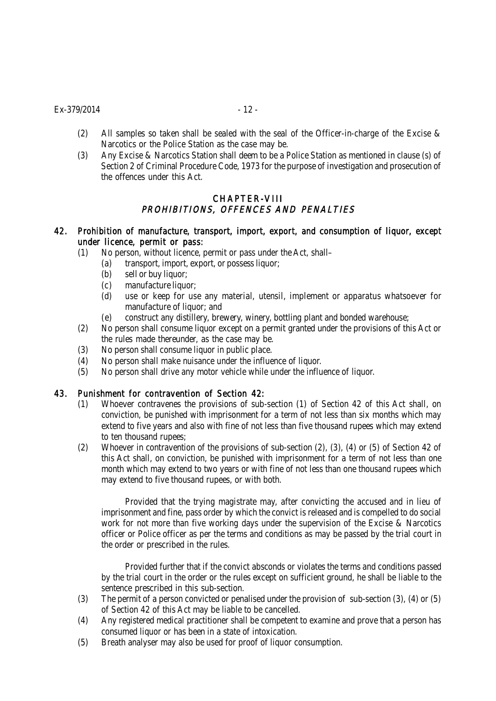$Ex-379/2014$  - 12 -

- (2) All samples so taken shall be sealed with the seal of the Officer-in-charge of the Excise & Narcotics or the Police Station as the case may be.
- (3) Any Excise & Narcotics Station shall deem to be a Police Station as mentioned in clause (s) of Section 2 of Criminal Procedure Code, 1973 for the purpose of investigation and prosecution of the offences under this Act.

## CHAPTER-VIII PROHIBITIONS, OFFENCES AND PENALTIES

## 42. Prohibition of manufacture, transport, import, export, and consumption of liquor, except under licence, permit or pass:

- (1) No person, without licence, permit or pass under the Act, shall–
	- (a) transport, import, export, or possess liquor;
	- (b) sell or buy liquor;
	- (c) manufacture liquor;
	- (d) use or keep for use any material, utensil, implement or apparatus whatsoever for manufacture of liquor; and
	- (e) construct any distillery, brewery, winery, bottling plant and bonded warehouse;
- (2) No person shall consume liquor except on a permit granted under the provisions of this Act or the rules made thereunder, as the case may be.
- (3) No person shall consume liquor in public place.
- (4) No person shall make nuisance under the influence of liquor.
- (5) No person shall drive any motor vehicle while under the influence of liquor.

## 43. Punishment for contravention of Section 42:

- (1) Whoever contravenes the provisions of sub-section (1) of Section 42 of this Act shall, on conviction, be punished with imprisonment for a term of not less than six months which may extend to five years and also with fine of not less than five thousand rupees which may extend to ten thousand rupees;
- (2) Whoever in contravention of the provisions of sub-section (2), (3), (4) or (5) of Section 42 of this Act shall, on conviction, be punished with imprisonment for a term of not less than one month which may extend to two years or with fine of not less than one thousand rupees which may extend to five thousand rupees, or with both.

Provided that the trying magistrate may, after convicting the accused and in lieu of imprisonment and fine, pass order by which the convict is released and is compelled to do social work for not more than five working days under the supervision of the Excise & Narcotics officer or Police officer as per the terms and conditions as may be passed by the trial court in the order or prescribed in the rules.

Provided further that if the convict absconds or violates the terms and conditions passed by the trial court in the order or the rules except on sufficient ground, he shall be liable to the sentence prescribed in this sub-section.

- (3) The permit of a person convicted or penalised under the provision of sub-section (3), (4) or (5) of Section 42 of this Act may be liable to be cancelled.
- (4) Any registered medical practitioner shall be competent to examine and prove that a person has consumed liquor or has been in a state of intoxication.
- (5) Breath analyser may also be used for proof of liquor consumption.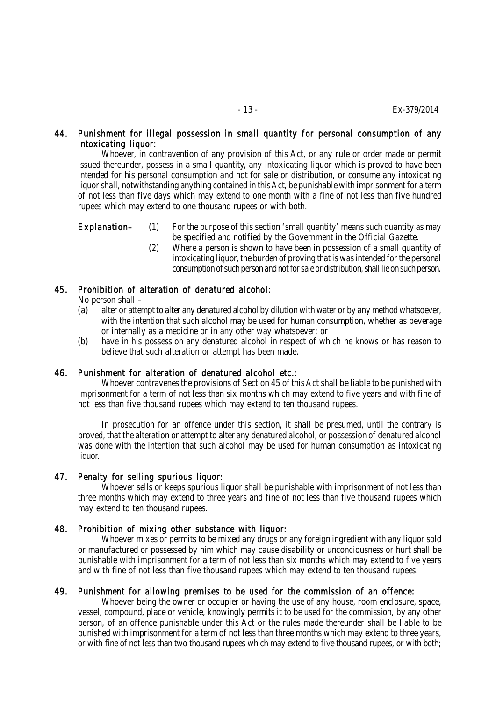## 44. Punishment for illegal possession in small quantity for personal consumption of any intoxicating liquor:

Whoever, in contravention of any provision of this Act, or any rule or order made or permit issued thereunder, possess in a small quantity, any intoxicating liquor which is proved to have been intended for his personal consumption and not for sale or distribution, or consume any intoxicating liquor shall, notwithstanding anything contained in this Act, be punishable with imprisonment for a term of not less than five days which may extend to one month with a fine of not less than five hundred rupees which may extend to one thousand rupees or with both.

- Explanation– (1) For the purpose of this section 'small quantity' means such quantity as may be specified and notified by the Government in the Official Gazette.
	- (2) Where a person is shown to have been in possession of a small quantity of intoxicating liquor, the burden of proving that is was intended for the personal consumption of such person and not for sale or distribution, shall lie on such person.

## 45. Prohibition of alteration of denatured alcohol:

No person shall –

- (a) alter or attempt to alter any denatured alcohol by dilution with water or by any method whatsoever, with the intention that such alcohol may be used for human consumption, whether as beverage or internally as a medicine or in any other way whatsoever; or
- (b) have in his possession any denatured alcohol in respect of which he knows or has reason to believe that such alteration or attempt has been made.

#### 46. Punishment for alteration of denatured alcohol etc.:

Whoever contravenes the provisions of Section 45 of this Act shall be liable to be punished with imprisonment for a term of not less than six months which may extend to five years and with fine of not less than five thousand rupees which may extend to ten thousand rupees.

In prosecution for an offence under this section, it shall be presumed, until the contrary is proved, that the alteration or attempt to alter any denatured alcohol, or possession of denatured alcohol was done with the intention that such alcohol may be used for human consumption as intoxicating liquor.

#### 47. Penalty for selling spurious liquor:

Whoever sells or keeps spurious liquor shall be punishable with imprisonment of not less than three months which may extend to three years and fine of not less than five thousand rupees which may extend to ten thousand rupees.

#### 48. Prohibition of mixing other substance with liquor:

Whoever mixes or permits to be mixed any drugs or any foreign ingredient with any liquor sold or manufactured or possessed by him which may cause disability or unconciousness or hurt shall be punishable with imprisonment for a term of not less than six months which may extend to five years and with fine of not less than five thousand rupees which may extend to ten thousand rupees.

#### 49. Punishment for allowing premises to be used for the commission of an offence:

Whoever being the owner or occupier or having the use of any house, room enclosure, space, vessel, compound, place or vehicle, knowingly permits it to be used for the commission, by any other person, of an offence punishable under this Act or the rules made thereunder shall be liable to be punished with imprisonment for a term of not less than three months which may extend to three years, or with fine of not less than two thousand rupees which may extend to five thousand rupees, or with both;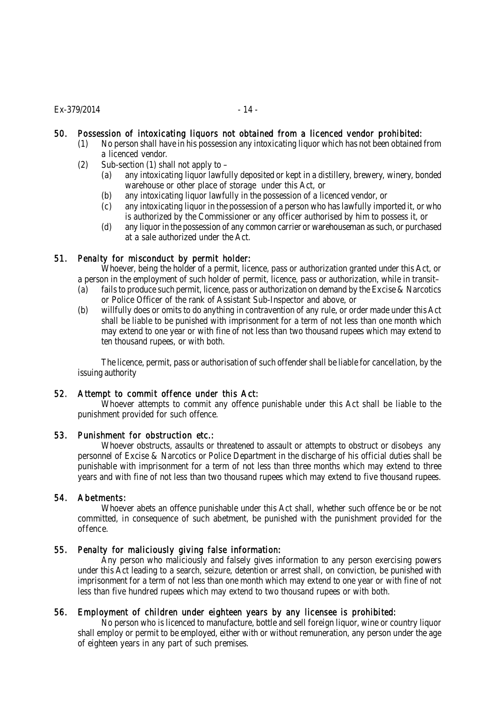# 50. Possession of intoxicating liquors not obtained from a licenced vendor prohibited:

- (1) No person shall have in his possession any intoxicating liquor which has not been obtained from a licenced vendor.
- (2) Sub-section (1) shall not apply to  $-$ 
	- (a) any intoxicating liquor lawfully deposited or kept in a distillery, brewery, winery, bonded warehouse or other place of storage under this Act, or
	- (b) any intoxicating liquor lawfully in the possession of a licenced vendor, or
	- (c) any intoxicating liquor in the possession of a person who has lawfully imported it, or who is authorized by the Commissioner or any officer authorised by him to possess it, or
	- (d) any liquor in the possession of any common carrier or warehouseman as such, or purchased at a sale authorized under the Act.

## 51. Penalty for misconduct by permit holder:

Whoever, being the holder of a permit, licence, pass or authorization granted under this Act, or a person in the employment of such holder of permit, licence, pass or authorization, while in transit–

- (a) fails to produce such permit, licence, pass or authorization on demand by the Excise & Narcotics or Police Officer of the rank of Assistant Sub-Inspector and above, or
- (b) willfully does or omits to do anything in contravention of any rule, or order made under this Act shall be liable to be punished with imprisonment for a term of not less than one month which may extend to one year or with fine of not less than two thousand rupees which may extend to ten thousand rupees, or with both.

The licence, permit, pass or authorisation of such offender shall be liable for cancellation, by the issuing authority

#### 52. Attempt to commit offence under this Act:

Whoever attempts to commit any offence punishable under this Act shall be liable to the punishment provided for such offence.

#### 53. Punishment for obstruction etc.:

Whoever obstructs, assaults or threatened to assault or attempts to obstruct or disobeys any personnel of Excise & Narcotics or Police Department in the discharge of his official duties shall be punishable with imprisonment for a term of not less than three months which may extend to three years and with fine of not less than two thousand rupees which may extend to five thousand rupees.

## 54. Abetments:

Whoever abets an offence punishable under this Act shall, whether such offence be or be not committed, in consequence of such abetment, be punished with the punishment provided for the offence.

## 55. Penalty for maliciously giving false information:

Any person who maliciously and falsely gives information to any person exercising powers under this Act leading to a search, seizure, detention or arrest shall, on conviction, be punished with imprisonment for a term of not less than one month which may extend to one year or with fine of not less than five hundred rupees which may extend to two thousand rupees or with both.

## 56. Employment of children under eighteen years by any licensee is prohibited:

No person who is licenced to manufacture, bottle and sell foreign liquor, wine or country liquor shall employ or permit to be employed, either with or without remuneration, any person under the age of eighteen years in any part of such premises.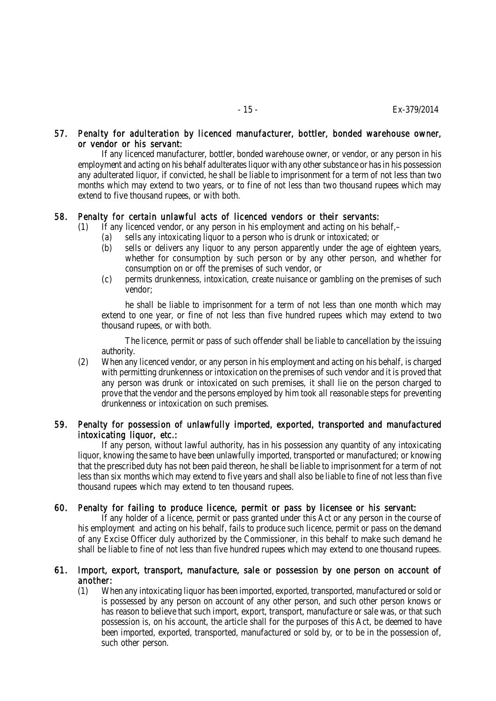#### 57. Penalty for adulteration by licenced manufacturer, bottler, bonded warehouse owner, or vendor or his servant:

If any licenced manufacturer, bottler, bonded warehouse owner, or vendor, or any person in his employment and acting on his behalf adulterates liquor with any other substance or has in his possession any adulterated liquor, if convicted, he shall be liable to imprisonment for a term of not less than two months which may extend to two years, or to fine of not less than two thousand rupees which may extend to five thousand rupees, or with both.

## 58. Penalty for certain unlawful acts of licenced vendors or their servants:

- (1) If any licenced vendor, or any person in his employment and acting on his behalf,–
	- (a) sells any intoxicating liquor to a person who is drunk or intoxicated; or
	- (b) sells or delivers any liquor to any person apparently under the age of eighteen years, whether for consumption by such person or by any other person, and whether for consumption on or off the premises of such vendor, or
	- (c) permits drunkenness, intoxication, create nuisance or gambling on the premises of such vendor;

he shall be liable to imprisonment for a term of not less than one month which may extend to one year, or fine of not less than five hundred rupees which may extend to two thousand rupees, or with both.

The licence, permit or pass of such offender shall be liable to cancellation by the issuing authority.

(2) When any licenced vendor, or any person in his employment and acting on his behalf, is charged with permitting drunkenness or intoxication on the premises of such vendor and it is proved that any person was drunk or intoxicated on such premises, it shall lie on the person charged to prove that the vendor and the persons employed by him took all reasonable steps for preventing drunkenness or intoxication on such premises.

## 59. Penalty for possession of unlawfully imported, exported, transported and manufactured intoxicating liquor, etc.:

If any person, without lawful authority, has in his possession any quantity of any intoxicating liquor, knowing the same to have been unlawfully imported, transported or manufactured; or knowing that the prescribed duty has not been paid thereon, he shall be liable to imprisonment for a term of not less than six months which may extend to five years and shall also be liable to fine of not less than five thousand rupees which may extend to ten thousand rupees.

## 60. Penalty for failing to produce licence, permit or pass by licensee or his servant:

If any holder of a licence, permit or pass granted under this Act or any person in the course of his employment and acting on his behalf, fails to produce such licence, permit or pass on the demand of any Excise Officer duly authorized by the Commissioner, in this behalf to make such demand he shall be liable to fine of not less than five hundred rupees which may extend to one thousand rupees.

#### 61. Import, export, transport, manufacture, sale or possession by one person on account of another:

(1) When any intoxicating liquor has been imported, exported, transported, manufactured or sold or is possessed by any person on account of any other person, and such other person knows or has reason to believe that such import, export, transport, manufacture or sale was, or that such possession is, on his account, the article shall for the purposes of this Act, be deemed to have been imported, exported, transported, manufactured or sold by, or to be in the possession of, such other person.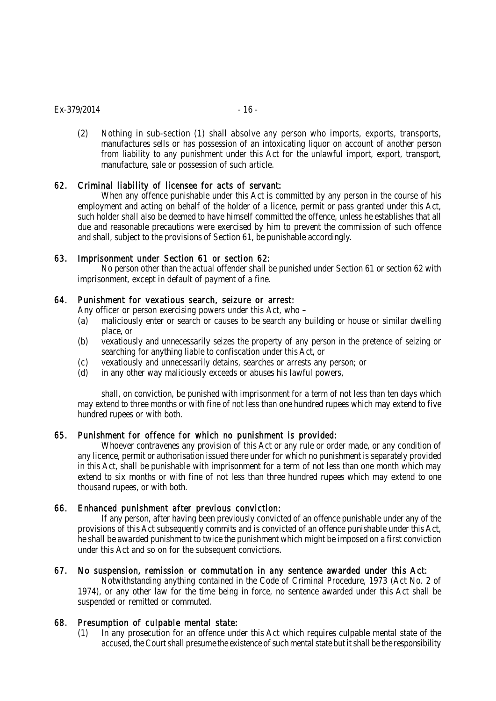#### $Ex-379/2014$  - 16 -

(2) Nothing in sub-section (1) shall absolve any person who imports, exports, transports, manufactures sells or has possession of an intoxicating liquor on account of another person from liability to any punishment under this Act for the unlawful import, export, transport, manufacture, sale or possession of such article.

## 62. Criminal liability of licensee for acts of servant:

When any offence punishable under this Act is committed by any person in the course of his employment and acting on behalf of the holder of a licence, permit or pass granted under this Act, such holder shall also be deemed to have himself committed the offence, unless he establishes that all due and reasonable precautions were exercised by him to prevent the commission of such offence and shall, subject to the provisions of Section 61, be punishable accordingly.

## 63. Imprisonment under Section 61 or section 62:

No person other than the actual offender shall be punished under Section 61 or section 62 with imprisonment, except in default of payment of a fine.

# 64. Punishment for vexatious search, seizure or arrest:

Any officer or person exercising powers under this Act, who –

- (a) maliciously enter or search or causes to be search any building or house or similar dwelling place, or
- (b) vexatiously and unnecessarily seizes the property of any person in the pretence of seizing or searching for anything liable to confiscation under this Act, or
- (c) vexatiously and unnecessarily detains, searches or arrests any person; or
- (d) in any other way maliciously exceeds or abuses his lawful powers,

shall, on conviction, be punished with imprisonment for a term of not less than ten days which may extend to three months or with fine of not less than one hundred rupees which may extend to five hundred rupees or with both.

## 65. Punishment for offence for which no punishment is provided:

Whoever contravenes any provision of this Act or any rule or order made, or any condition of any licence, permit or authorisation issued there under for which no punishment is separately provided in this Act, shall be punishable with imprisonment for a term of not less than one month which may extend to six months or with fine of not less than three hundred rupees which may extend to one thousand rupees, or with both.

## 66. Enhanced punishment after previous conviction:

If any person, after having been previously convicted of an offence punishable under any of the provisions of this Act subsequently commits and is convicted of an offence punishable under this Act, he shall be awarded punishment to twice the punishment which might be imposed on a first conviction under this Act and so on for the subsequent convictions.

## 67. No suspension, remission or commutation in any sentence awarded under this Act:

Notwithstanding anything contained in the Code of Criminal Procedure, 1973 (Act No. 2 of 1974), or any other law for the time being in force, no sentence awarded under this Act shall be suspended or remitted or commuted.

## 68. Presumption of culpable mental state:

(1) In any prosecution for an offence under this Act which requires culpable mental state of the accused, the Court shall presume the existence of such mental state but it shall be the responsibility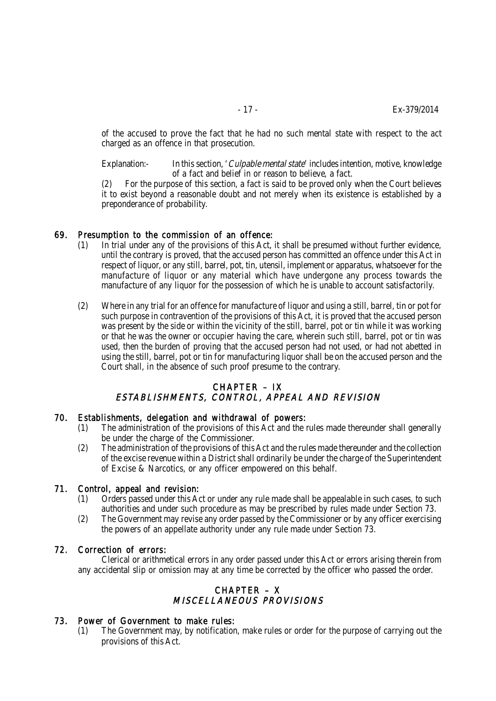of the accused to prove the fact that he had no such mental state with respect to the act charged as an offence in that prosecution.

Explanation:- In this section, *'Culpable mental state'* includes intention, motive, knowledge of a fact and belief in or reason to believe, a fact.

(2) For the purpose of this section, a fact is said to be proved only when the Court believes it to exist beyond a reasonable doubt and not merely when its existence is established by a preponderance of probability.

## 69. Presumption to the commission of an offence:

- (1) In trial under any of the provisions of this Act, it shall be presumed without further evidence, until the contrary is proved, that the accused person has committed an offence under this Act in respect of liquor, or any still, barrel, pot, tin, utensil, implement or apparatus, whatsoever for the manufacture of liquor or any material which have undergone any process towards the manufacture of any liquor for the possession of which he is unable to account satisfactorily.
- (2) Where in any trial for an offence for manufacture of liquor and using a still, barrel, tin or pot for such purpose in contravention of the provisions of this Act, it is proved that the accused person was present by the side or within the vicinity of the still, barrel, pot or tin while it was working or that he was the owner or occupier having the care, wherein such still, barrel, pot or tin was used, then the burden of proving that the accused person had not used, or had not abetted in using the still, barrel, pot or tin for manufacturing liquor shall be on the accused person and the Court shall, in the absence of such proof presume to the contrary.

# CHAPTER – IX ESTABLISHMENTS, CONTROL, APPEAL AND REVISION

#### 70. Establishments, delegation and withdrawal of powers:

- (1) The administration of the provisions of this Act and the rules made thereunder shall generally be under the charge of the Commissioner.
- (2) The administration of the provisions of this Act and the rules made thereunder and the collection of the excise revenue within a District shall ordinarily be under the charge of the Superintendent of Excise & Narcotics, or any officer empowered on this behalf.

#### 71. Control, appeal and revision:

- (1) Orders passed under this Act or under any rule made shall be appealable in such cases, to such authorities and under such procedure as may be prescribed by rules made under Section 73.
- (2) The Government may revise any order passed by the Commissioner or by any officer exercising the powers of an appellate authority under any rule made under Section 73.

#### 72. Correction of errors:

Clerical or arithmetical errors in any order passed under this Act or errors arising therein from any accidental slip or omission may at any time be corrected by the officer who passed the order.

## CHAPTER – X MISCELLANEOUS PROVISIONS

## 73. Power of Government to make rules:

(1) The Government may, by notification, make rules or order for the purpose of carrying out the provisions of this Act.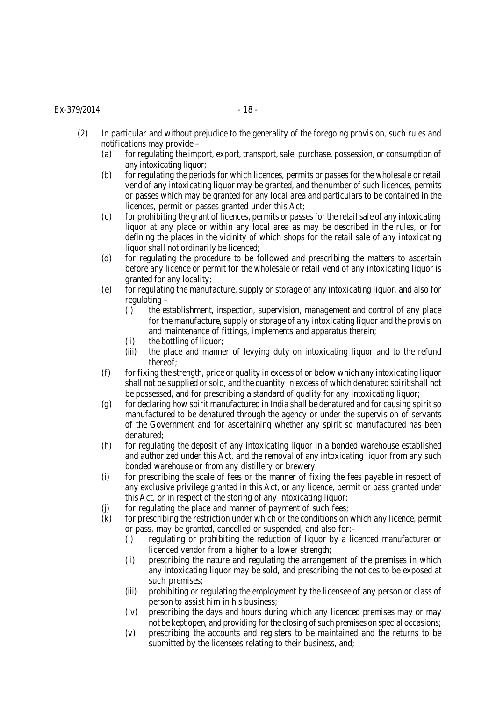#### $Ex-379/2014$  - 18 -

- (2) In particular and without prejudice to the generality of the foregoing provision, such rules and notifications may provide –
	- (a) for regulating the import, export, transport, sale, purchase, possession, or consumption of any intoxicating liquor;
	- (b) for regulating the periods for which licences, permits or passes for the wholesale or retail vend of any intoxicating liquor may be granted, and the number of such licences, permits or passes which may be granted for any local area and particulars to be contained in the licences, permit or passes granted under this Act;
	- (c) for prohibiting the grant of licences, permits or passes for the retail sale of any intoxicating liquor at any place or within any local area as may be described in the rules, or for defining the places in the vicinity of which shops for the retail sale of any intoxicating liquor shall not ordinarily be licenced;
	- (d) for regulating the procedure to be followed and prescribing the matters to ascertain before any licence or permit for the wholesale or retail vend of any intoxicating liquor is granted for any locality;
	- (e) for regulating the manufacture, supply or storage of any intoxicating liquor, and also for regulating –
		- (i) the establishment, inspection, supervision, management and control of any place for the manufacture, supply or storage of any intoxicating liquor and the provision and maintenance of fittings, implements and apparatus therein;
		- (ii) the bottling of liquor;
		- (iii) the place and manner of levying duty on intoxicating liquor and to the refund thereof;
	- $(f)$  for fixing the strength, price or quality in excess of or below which any intoxicating liquor shall not be supplied or sold, and the quantity in excess of which denatured spirit shall not be possessed, and for prescribing a standard of quality for any intoxicating liquor;
	- (g) for declaring how spirit manufactured in India shall be denatured and for causing spirit so manufactured to be denatured through the agency or under the supervision of servants of the Government and for ascertaining whether any spirit so manufactured has been denatured;
	- (h) for regulating the deposit of any intoxicating liquor in a bonded warehouse established and authorized under this Act, and the removal of any intoxicating liquor from any such bonded warehouse or from any distillery or brewery;
	- (i) for prescribing the scale of fees or the manner of fixing the fees payable in respect of any exclusive privilege granted in this Act, or any licence, permit or pass granted under this Act, or in respect of the storing of any intoxicating liquor;
	- (j) for regulating the place and manner of payment of such fees;
	- (k) for prescribing the restriction under which or the conditions on which any licence, permit or pass, may be granted, cancelled or suspended, and also for:–
		- (i) regulating or prohibiting the reduction of liquor by a licenced manufacturer or licenced vendor from a higher to a lower strength;
		- (ii) prescribing the nature and regulating the arrangement of the premises in which any intoxicating liquor may be sold, and prescribing the notices to be exposed at such premises;
		- (iii) prohibiting or regulating the employment by the licensee of any person or class of person to assist him in his business;
		- (iv) prescribing the days and hours during which any licenced premises may or may not be kept open, and providing for the closing of such premises on special occasions;
		- (v) prescribing the accounts and registers to be maintained and the returns to be submitted by the licensees relating to their business, and;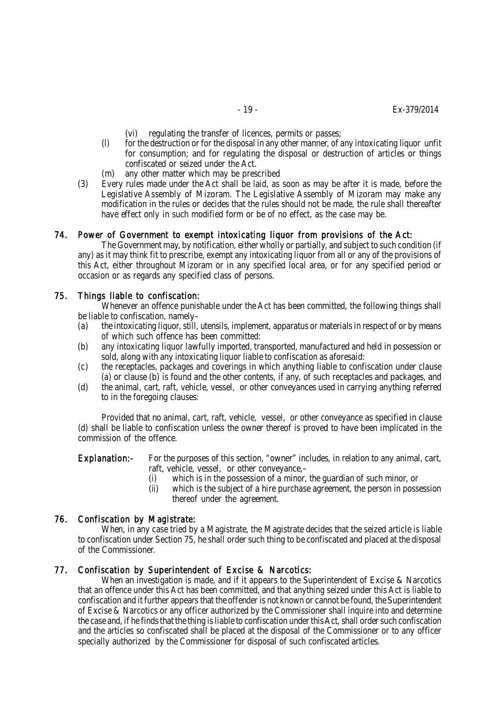- (vi) regulating the transfer of licences, permits or passes;
- (l) for the destruction or for the disposal in any other manner, of any intoxicating liquor unfit for consumption; and for regulating the disposal or destruction of articles or things confiscated or seized under the Act.
- (m) any other matter which may be prescribed
- (3) Every rules made under the Act shall be laid, as soon as may be after it is made, before the Legislative Assembly of Mizoram. The Legislative Assembly of Mizoram may make any modification in the rules or decides that the rules should not be made, the rule shall thereafter have effect only in such modified form or be of no effect, as the case may be.

#### 74. Power of Government to exempt intoxicating liquor from provisions of the Act:

The Government may, by notification, either wholly or partially, and subject to such condition (if any) as it may think fit to prescribe, exempt any intoxicating liquor from all or any of the provisions of this Act, either throughout Mizoram or in any specified local area, or for any specified period or occasion or as regards any specified class of persons.

#### 75. Things liable to confiscation:

Whenever an offence punishable under the Act has been committed, the following things shall be liable to confiscation, namely–

- (a) the intoxicating liquor, still, utensils, implement, apparatus or materials in respect of or by means of which such offence has been committed:
- (b) any intoxicating liquor lawfully imported, transported, manufactured and held in possession or sold, along with any intoxicating liquor liable to confiscation as aforesaid:
- (c) the receptacles, packages and coverings in which anything liable to confiscation under clause (a) or clause (b) is found and the other contents, if any, of such receptacles and packages, and
- (d) the animal, cart, raft, vehicle, vessel, or other conveyances used in carrying anything referred to in the foregoing clauses:

Provided that no animal, cart, raft, vehicle, vessel, or other conveyance as specified in clause (d) shall be liable to confiscation unless the owner thereof is proved to have been implicated in the commission of the offence.

Explanation:- For the purposes of this section, "owner" includes, in relation to any animal, cart, raft, vehicle, vessel, or other conveyance,–

- (i) which is in the possession of a minor, the guardian of such minor, or
- (ii) which is the subject of a hire purchase agreement, the person in possession thereof under the agreement.

#### 76. Confiscation by Magistrate:

When, in any case tried by a Magistrate, the Magistrate decides that the seized article is liable to confiscation under Section 75, he shall order such thing to be confiscated and placed at the disposal of the Commissioner.

#### 77. Confiscation by Superintendent of Excise & Narcotics:

When an investigation is made, and if it appears to the Superintendent of Excise & Narcotics that an offence under this Act has been committed, and that anything seized under this Act is liable to confiscation and it further appears that the offender is not known or cannot be found, the Superintendent of Excise & Narcotics or any officer authorized by the Commissioner shall inquire into and determine the case and, if he finds that the thing is liable to confiscation under this Act, shall order such confiscation and the articles so confiscated shall be placed at the disposal of the Commissioner or to any officer specially authorized by the Commissioner for disposal of such confiscated articles.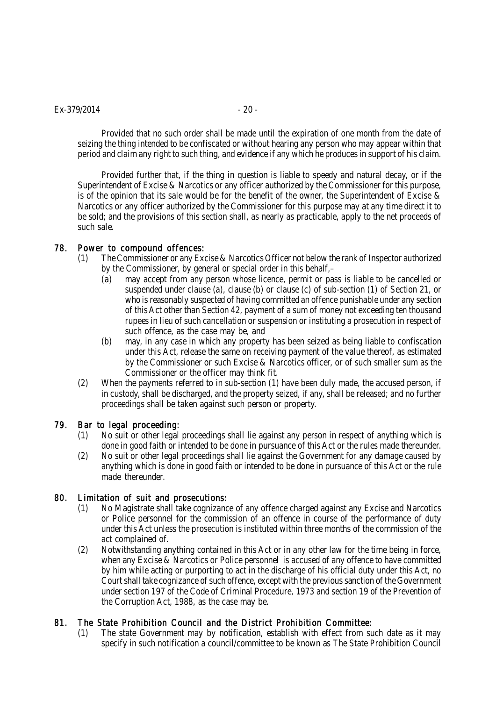#### $Ex-379/2014$  - 20 -

Provided that no such order shall be made until the expiration of one month from the date of seizing the thing intended to be confiscated or without hearing any person who may appear within that period and claim any right to such thing, and evidence if any which he produces in support of his claim.

Provided further that, if the thing in question is liable to speedy and natural decay, or if the Superintendent of Excise & Narcotics or any officer authorized by the Commissioner for this purpose, is of the opinion that its sale would be for the benefit of the owner, the Superintendent of Excise & Narcotics or any officer authorized by the Commissioner for this purpose may at any time direct it to be sold; and the provisions of this section shall, as nearly as practicable, apply to the net proceeds of such sale.

## 78. Power to compound offences:

- (1) The Commissioner or any Excise & Narcotics Officer not below the rank of Inspector authorized by the Commissioner, by general or special order in this behalf,–
	- (a) may accept from any person whose licence, permit or pass is liable to be cancelled or suspended under clause (a), clause (b) or clause (c) of sub-section (1) of Section 21, or who is reasonably suspected of having committed an offence punishable under any section of this Act other than Section 42, payment of a sum of money not exceeding ten thousand rupees in lieu of such cancellation or suspension or instituting a prosecution in respect of such offence, as the case may be, and
	- (b) may, in any case in which any property has been seized as being liable to confiscation under this Act, release the same on receiving payment of the value thereof, as estimated by the Commissioner or such Excise & Narcotics officer, or of such smaller sum as the Commissioner or the officer may think fit.
- (2) When the payments referred to in sub-section (1) have been duly made, the accused person, if in custody, shall be discharged, and the property seized, if any, shall be released; and no further proceedings shall be taken against such person or property.

## 79. Bar to legal proceeding:

- (1) No suit or other legal proceedings shall lie against any person in respect of anything which is done in good faith or intended to be done in pursuance of this Act or the rules made thereunder.
- (2) No suit or other legal proceedings shall lie against the Government for any damage caused by anything which is done in good faith or intended to be done in pursuance of this Act or the rule made thereunder.

## 80. Limitation of suit and prosecutions:

- (1) No Magistrate shall take cognizance of any offence charged against any Excise and Narcotics or Police personnel for the commission of an offence in course of the performance of duty under this Act unless the prosecution is instituted within three months of the commission of the act complained of.
- (2) Notwithstanding anything contained in this Act or in any other law for the time being in force, when any Excise & Narcotics or Police personnel is accused of any offence to have committed by him while acting or purporting to act in the discharge of his official duty under this Act, no Court shall take cognizance of such offence, except with the previous sanction of the Government under section 197 of the Code of Criminal Procedure, 1973 and section 19 of the Prevention of the Corruption Act, 1988, as the case may be.

# 81. The State Prohibition Council and the District Prohibition Committee:

(1) The state Government may by notification, establish with effect from such date as it may specify in such notification a council/committee to be known as The State Prohibition Council